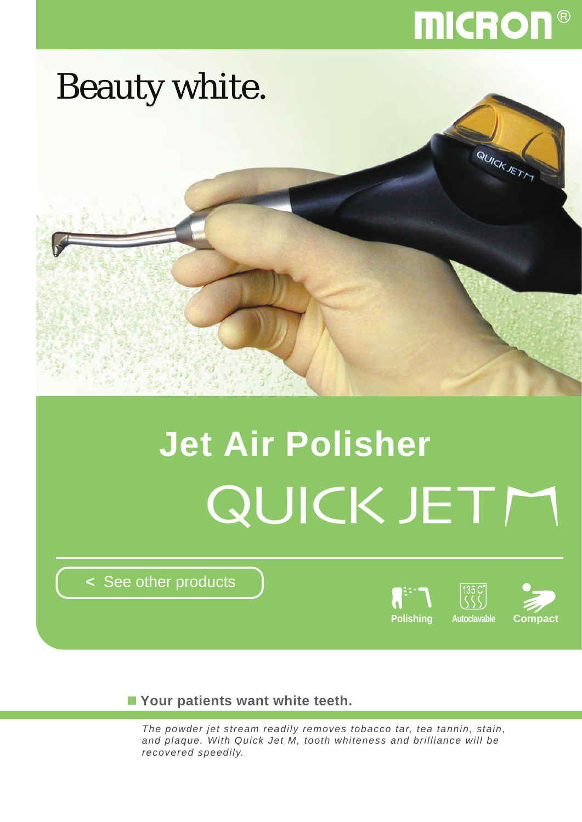## **MICRON®**



# **Jet Air Polisher** QUICK JETM

**<** [See other products](http://www.micdent.com/new_page/NeoM2/brochure.html)



**Your patients want white teeth.**

*The powder jet stream readily removes tobacco tar, tea tannin, stain, and plaque. With Quick Jet M, tooth whiteness and brilliance will be recovered speedily.*